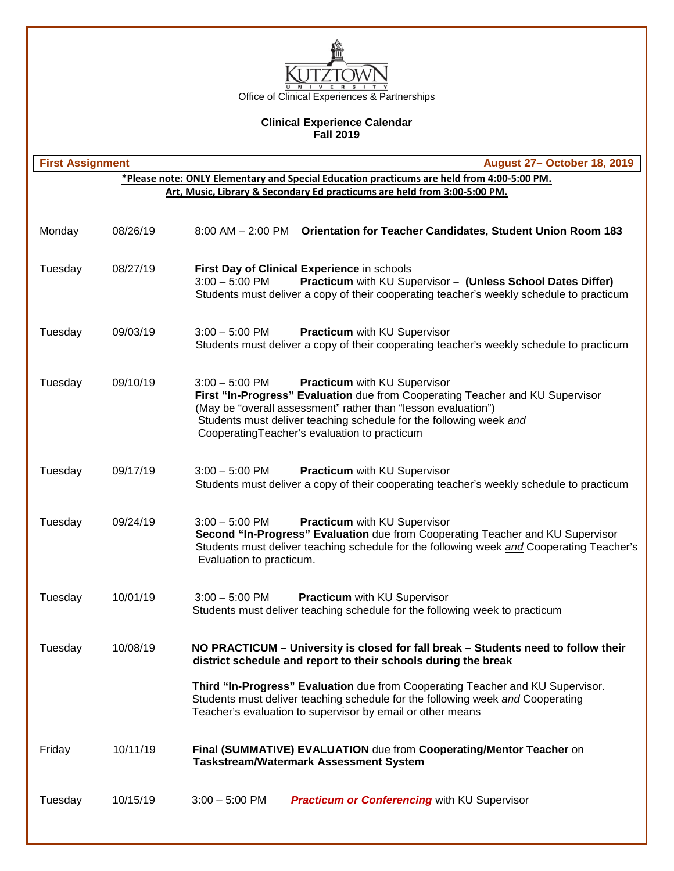

## **Clinical Experience Calendar Fall 2019**

| <b>August 27- October 18, 2019</b><br><b>First Assignment</b> |          |                                                                                                                                                                                                                                                                                                                          |  |  |
|---------------------------------------------------------------|----------|--------------------------------------------------------------------------------------------------------------------------------------------------------------------------------------------------------------------------------------------------------------------------------------------------------------------------|--|--|
|                                                               |          | *Please note: ONLY Elementary and Special Education practicums are held from 4:00-5:00 PM.                                                                                                                                                                                                                               |  |  |
|                                                               |          | Art, Music, Library & Secondary Ed practicums are held from 3:00-5:00 PM.                                                                                                                                                                                                                                                |  |  |
| Monday                                                        | 08/26/19 | 8:00 AM - 2:00 PM Orientation for Teacher Candidates, Student Union Room 183                                                                                                                                                                                                                                             |  |  |
| Tuesday                                                       | 08/27/19 | First Day of Clinical Experience in schools<br>Practicum with KU Supervisor - (Unless School Dates Differ)<br>$3:00 - 5:00$ PM<br>Students must deliver a copy of their cooperating teacher's weekly schedule to practicum                                                                                               |  |  |
| Tuesday                                                       | 09/03/19 | $3:00 - 5:00$ PM<br><b>Practicum</b> with KU Supervisor<br>Students must deliver a copy of their cooperating teacher's weekly schedule to practicum                                                                                                                                                                      |  |  |
| Tuesday                                                       | 09/10/19 | Practicum with KU Supervisor<br>$3:00 - 5:00$ PM<br>First "In-Progress" Evaluation due from Cooperating Teacher and KU Supervisor<br>(May be "overall assessment" rather than "lesson evaluation")<br>Students must deliver teaching schedule for the following week and<br>CooperatingTeacher's evaluation to practicum |  |  |
| Tuesday                                                       | 09/17/19 | $3:00 - 5:00$ PM<br>Practicum with KU Supervisor<br>Students must deliver a copy of their cooperating teacher's weekly schedule to practicum                                                                                                                                                                             |  |  |
| Tuesday                                                       | 09/24/19 | $3:00 - 5:00$ PM<br>Practicum with KU Supervisor<br>Second "In-Progress" Evaluation due from Cooperating Teacher and KU Supervisor<br>Students must deliver teaching schedule for the following week and Cooperating Teacher's<br>Evaluation to practicum.                                                               |  |  |
| Tuesday                                                       | 10/01/19 | $3:00 - 5:00$ PM<br>Practicum with KU Supervisor<br>Students must deliver teaching schedule for the following week to practicum                                                                                                                                                                                          |  |  |
| Tuesday                                                       | 10/08/19 | NO PRACTICUM - University is closed for fall break - Students need to follow their<br>district schedule and report to their schools during the break                                                                                                                                                                     |  |  |
|                                                               |          | Third "In-Progress" Evaluation due from Cooperating Teacher and KU Supervisor.<br>Students must deliver teaching schedule for the following week and Cooperating<br>Teacher's evaluation to supervisor by email or other means                                                                                           |  |  |
| Friday                                                        | 10/11/19 | Final (SUMMATIVE) EVALUATION due from Cooperating/Mentor Teacher on<br><b>Taskstream/Watermark Assessment System</b>                                                                                                                                                                                                     |  |  |
| Tuesday                                                       | 10/15/19 | $3:00 - 5:00$ PM<br><b>Practicum or Conferencing with KU Supervisor</b>                                                                                                                                                                                                                                                  |  |  |